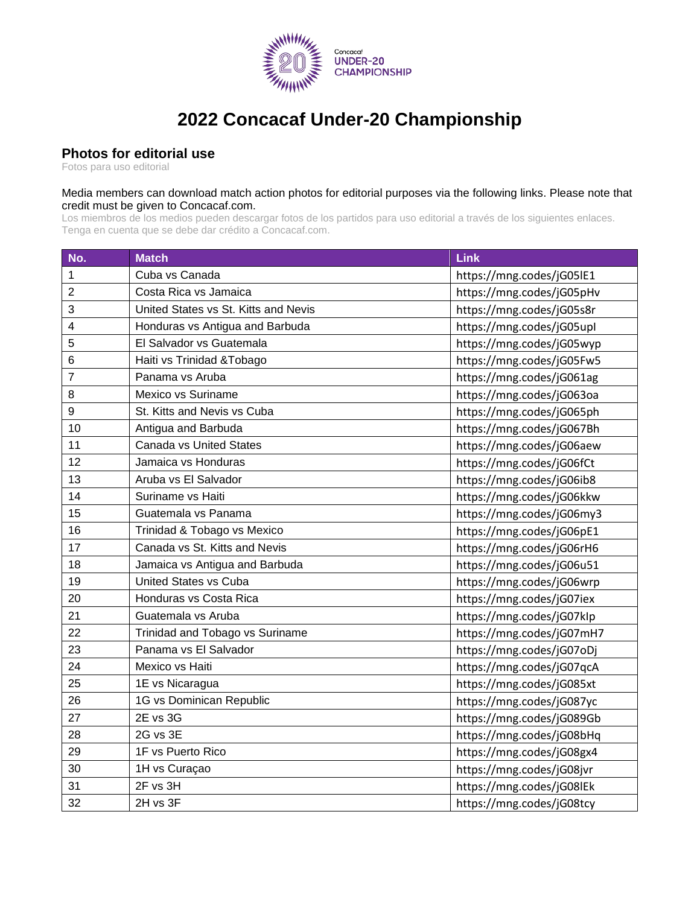

## **2022 Concacaf Under-20 Championship**

## **Photos for editorial use**

Fotos para uso editorial

## Media members can download match action photos for editorial purposes via the following links. Please note that credit must be given to Concacaf.com.

Los miembros de los medios pueden descargar fotos de los partidos para uso editorial a través de los siguientes enlaces. Tenga en cuenta que se debe dar crédito a Concacaf.com.

| No.            | <b>Match</b>                         | Link                      |
|----------------|--------------------------------------|---------------------------|
| 1              | Cuba vs Canada                       | https://mng.codes/jG05lE1 |
| $\overline{2}$ | Costa Rica vs Jamaica                | https://mng.codes/jG05pHv |
| 3              | United States vs St. Kitts and Nevis | https://mng.codes/jG05s8r |
| 4              | Honduras vs Antigua and Barbuda      | https://mng.codes/jG05upl |
| 5              | El Salvador vs Guatemala             | https://mng.codes/jG05wyp |
| 6              | Haiti vs Trinidad & Tobago           | https://mng.codes/jG05Fw5 |
| 7              | Panama vs Aruba                      | https://mng.codes/jG061ag |
| 8              | Mexico vs Suriname                   | https://mng.codes/jG063oa |
| 9              | St. Kitts and Nevis vs Cuba          | https://mng.codes/jG065ph |
| 10             | Antigua and Barbuda                  | https://mng.codes/jG067Bh |
| 11             | <b>Canada vs United States</b>       | https://mng.codes/jG06aew |
| 12             | Jamaica vs Honduras                  | https://mng.codes/jG06fCt |
| 13             | Aruba vs El Salvador                 | https://mng.codes/jG06ib8 |
| 14             | Suriname vs Haiti                    | https://mng.codes/jG06kkw |
| 15             | Guatemala vs Panama                  | https://mng.codes/jG06my3 |
| 16             | Trinidad & Tobago vs Mexico          | https://mng.codes/jG06pE1 |
| 17             | Canada vs St. Kitts and Nevis        | https://mng.codes/jG06rH6 |
| 18             | Jamaica vs Antigua and Barbuda       | https://mng.codes/jG06u51 |
| 19             | <b>United States vs Cuba</b>         | https://mng.codes/jG06wrp |
| 20             | Honduras vs Costa Rica               | https://mng.codes/jG07iex |
| 21             | Guatemala vs Aruba                   | https://mng.codes/jG07klp |
| 22             | Trinidad and Tobago vs Suriname      | https://mng.codes/jG07mH7 |
| 23             | Panama vs El Salvador                | https://mng.codes/jG07oDj |
| 24             | Mexico vs Haiti                      | https://mng.codes/jG07qcA |
| 25             | 1E vs Nicaragua                      | https://mng.codes/jG085xt |
| 26             | 1G vs Dominican Republic             | https://mng.codes/jG087yc |
| 27             | 2E vs 3G                             | https://mng.codes/jG089Gb |
| 28             | 2G vs 3E                             | https://mng.codes/jG08bHq |
| 29             | 1F vs Puerto Rico                    | https://mng.codes/jG08gx4 |
| 30             | 1H vs Curaçao                        | https://mng.codes/jG08jvr |
| 31             | 2F vs 3H                             | https://mng.codes/jG08lEk |
| 32             | 2H vs 3F                             | https://mng.codes/jG08tcy |